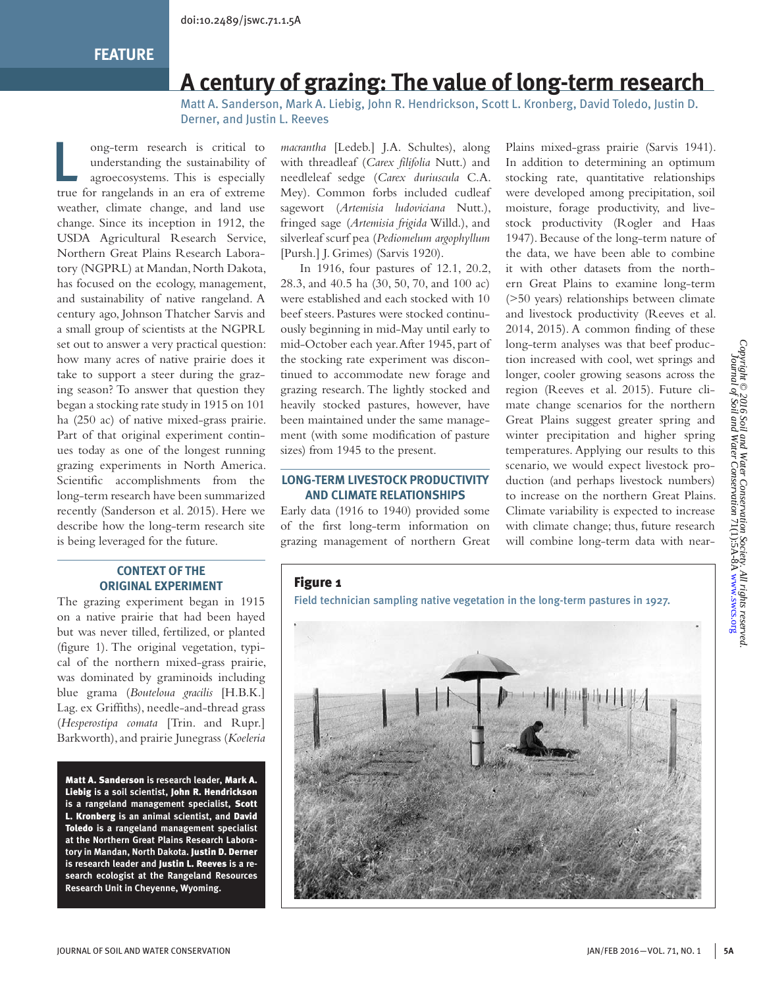# **A century of grazing: The value of long-term research**

Matt A. Sanderson, Mark A. Liebig, John R. Hendrickson, Scott L. Kronberg, David Toledo, Justin D. Derner, and Justin L. Reeves

lacktriang the sustainability of<br>agroecosystems. This is especially<br>the canonical the contract of the contract of the contract of the contract of the contract of the contract of the<br>strength of the contract of the contract understanding the sustainability of agroecosystems. This is especially true for rangelands in an era of extreme weather, climate change, and land use change. Since its inception in 1912, the USDA Agricultural Research Service, Northern Great Plains Research Laboratory (NGPRL) at Mandan, North Dakota, has focused on the ecology, management, and sustainability of native rangeland. A century ago, Johnson Thatcher Sarvis and a small group of scientists at the NGPRL set out to answer a very practical question: how many acres of native prairie does it take to support a steer during the grazing season? To answer that question they began a stocking rate study in 1915 on 101 ha (250 ac) of native mixed-grass prairie. Part of that original experiment continues today as one of the longest running grazing experiments in North America. Scientific accomplishments from the long-term research have been summarized recently (Sanderson et al. 2015). Here we describe how the long-term research site is being leveraged for the future.

#### **CONTEXT OF THE ORIGINAL EXPERIMENT**

The grazing experiment began in 1915 on a native prairie that had been hayed but was never tilled, fertilized, or planted (figure 1). The original vegetation, typical of the northern mixed-grass prairie, was dominated by graminoids including blue grama (*Bouteloua gracilis* [H.B.K.] Lag. ex Griffiths), needle-and-thread grass (*Hesperostipa comata* [Trin. and Rupr.] Barkworth), and prairie Junegrass (*Koeleria* 

Matt A. Sanderson **is research leader,** Mark A. Liebig **is a soil scientist,** John R. Hendrickson **is a rangeland management specialist,** Scott L. Kronberg **is an animal scientist, and** David Toledo **is a rangeland management specialist at the Northern Great Plains Research Laboratory in Mandan, North Dakota.** Justin D. Derner **is research leader and** Justin L. Reeves **is a research ecologist at the Rangeland Resources Research Unit in Cheyenne, Wyoming.**

*macrantha* [Ledeb.] J.A. Schultes), along with threadleaf (*Carex filifolia* Nutt.) and needleleaf sedge (*Carex duriuscula* C.A. Mey). Common forbs included cudleaf sagewort (*Artemisia ludoviciana* Nutt.), fringed sage (*Artemisia frigida* Willd.), and silverleaf scurf pea (*Pediomelum argophyllum*  [Pursh.] J. Grimes) (Sarvis 1920).

 In 1916, four pastures of 12.1, 20.2, 28.3, and 40.5 ha (30, 50, 70, and 100 ac) were established and each stocked with 10 beef steers. Pastures were stocked continuously beginning in mid-May until early to mid-October each year. After 1945, part of the stocking rate experiment was discontinued to accommodate new forage and grazing research. The lightly stocked and heavily stocked pastures, however, have been maintained under the same management (with some modification of pasture sizes) from 1945 to the present.

#### **LONG-TERM LIVESTOCK PRODUCTIVITY AND CLIMATE RELATIONSHIPS**

Early data (1916 to 1940) provided some of the first long-term information on grazing management of northern Great

Plains mixed-grass prairie (Sarvis 1941). In addition to determining an optimum stocking rate, quantitative relationships were developed among precipitation, soil moisture, forage productivity, and livestock productivity (Rogler and Haas 1947). Because of the long-term nature of the data, we have been able to combine it with other datasets from the northern Great Plains to examine long-term (>50 years) relationships between climate and livestock productivity (Reeves et al. 2014, 2015). A common finding of these long-term analyses was that beef production increased with cool, wet springs and longer, cooler growing seasons across the region (Reeves et al. 2015). Future climate change scenarios for the northern Great Plains suggest greater spring and winter precipitation and higher spring temperatures. Applying our results to this scenario, we would expect livestock production (and perhaps livestock numbers) to increase on the northern Great Plains. Climate variability is expected to increase with climate change; thus, future research will combine long-term data with near-

## Figure 1

Field technician sampling native vegetation in the long-term pastures in 1927.

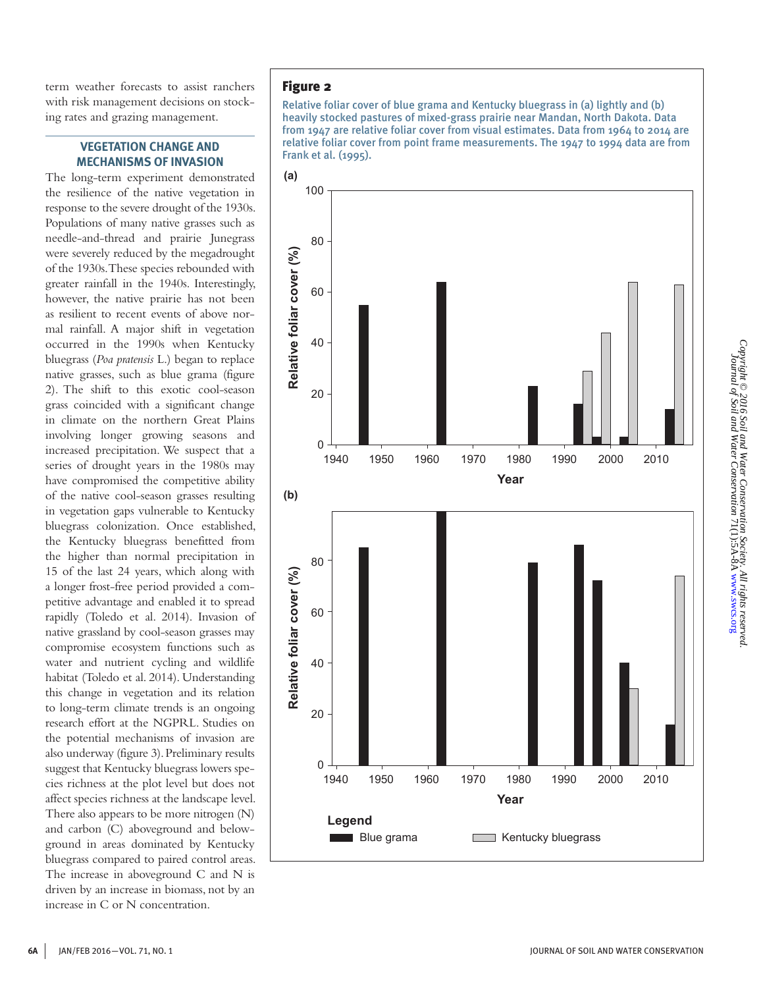term weather forecasts to assist ranchers with risk management decisions on stocking rates and grazing management.

#### **VEGETATION CHANGE AND MECHANISMS OF INVASION**

The long-term experiment demonstrated the resilience of the native vegetation in response to the severe drought of the 1930s. Populations of many native grasses such as needle-and-thread and prairie Junegrass were severely reduced by the megadrought of the 1930s. These species rebounded with greater rainfall in the 1940s. Interestingly, however, the native prairie has not been as resilient to recent events of above normal rainfall. A major shift in vegetation occurred in the 1990s when Kentucky bluegrass (*Poa pratensis* L.) began to replace native grasses, such as blue grama (figure 2). The shift to this exotic cool-season grass coincided with a significant change in climate on the northern Great Plains involving longer growing seasons and increased precipitation. We suspect that a series of drought years in the 1980s may have compromised the competitive ability of the native cool-season grasses resulting in vegetation gaps vulnerable to Kentucky bluegrass colonization. Once established, the Kentucky bluegrass benefitted from the higher than normal precipitation in 15 of the last 24 years, which along with a longer frost-free period provided a competitive advantage and enabled it to spread rapidly (Toledo et al. 2014). Invasion of native grassland by cool-season grasses may compromise ecosystem functions such as water and nutrient cycling and wildlife habitat (Toledo et al. 2014). Understanding this change in vegetation and its relation to long-term climate trends is an ongoing research effort at the NGPRL. Studies on the potential mechanisms of invasion are also underway (figure 3). Preliminary results suggest that Kentucky bluegrass lowers species richness at the plot level but does not affect species richness at the landscape level. There also appears to be more nitrogen (N) and carbon (C) aboveground and belowground in areas dominated by Kentucky bluegrass compared to paired control areas. The increase in aboveground C and N is driven by an increase in biomass, not by an increase in C or N concentration.

## Figure 2

Relative foliar cover of blue grama and Kentucky bluegrass in (a) lightly and (b) heavily stocked pastures of mixed-grass prairie near Mandan, North Dakota. Data from 1947 are relative foliar cover from visual estimates. Data from 1964 to 2014 are relative foliar cover from point frame measurements. The 1947 to 1994 data are from Frank et al. (1995).

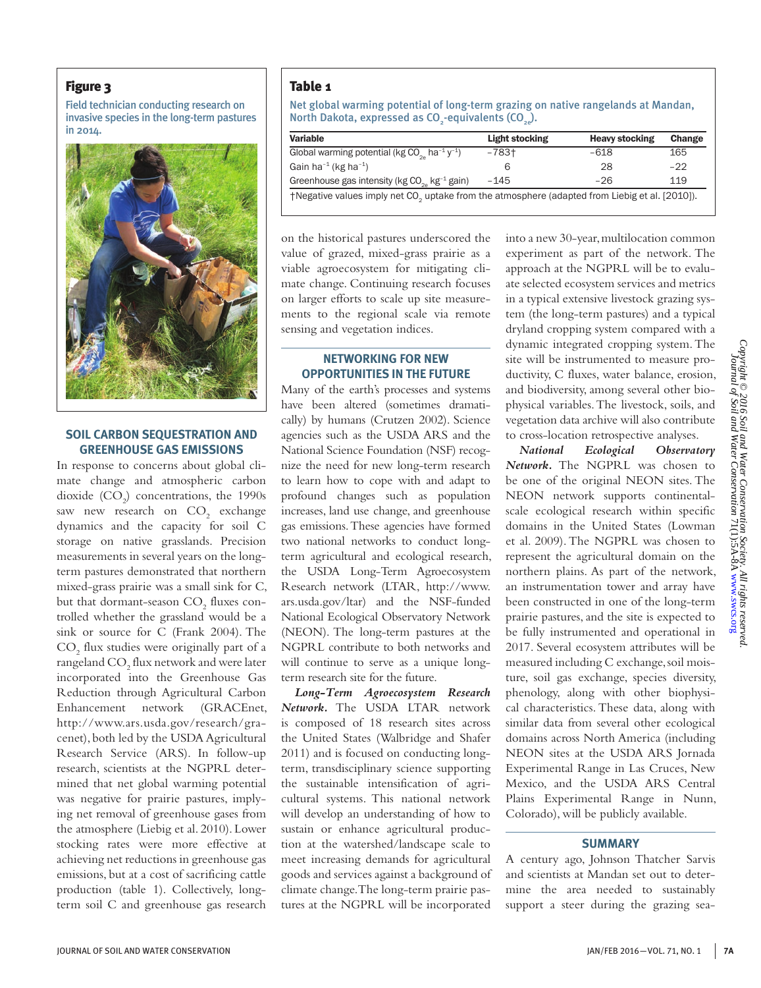#### Figure 3

Field technician conducting research on invasive species in the long-term pastures



#### **SOIL CARBON SEQUESTRATION AND GREENHOUSE GAS EMISSIONS**

In response to concerns about global climate change and atmospheric carbon dioxide  $(CO_2)$  concentrations, the 1990s saw new research on  $CO<sub>2</sub>$  exchange dynamics and the capacity for soil C storage on native grasslands. Precision measurements in several years on the longterm pastures demonstrated that northern mixed-grass prairie was a small sink for C, but that dormant-season  $\mathrm{CO}_2$  fluxes controlled whether the grassland would be a sink or source for C (Frank 2004). The  $\mathrm{CO}_2$  flux studies were originally part of a rangeland  $\mathrm{CO}_2^{}$  flux network and were later incorporated into the Greenhouse Gas Reduction through Agricultural Carbon Enhancement network (GRACEnet, http://www.ars.usda.gov/research/gracenet), both led by the USDA Agricultural Research Service (ARS). In follow-up research, scientists at the NGPRL determined that net global warming potential was negative for prairie pastures, implying net removal of greenhouse gases from the atmosphere (Liebig et al. 2010). Lower stocking rates were more effective at achieving net reductions in greenhouse gas emissions, but at a cost of sacrificing cattle production (table 1). Collectively, longterm soil C and greenhouse gas research

### Table 1

Net global warming potential of long-term grazing on native rangelands at Mandan, North Dakota, expressed as CO $_{_2}$ -equivalents (CO $_{_{2e}}$ ).

| IN 2014. | Variable                                                                                                   | Light stocking | <b>Heavy stocking</b> | Change |
|----------|------------------------------------------------------------------------------------------------------------|----------------|-----------------------|--------|
|          | Global warming potential (kg $CO_{20}$ ha <sup>-1</sup> y <sup>-1</sup> )                                  | $-783$ t       | $-618$                | 165    |
|          | Gain ha <sup>-1</sup> (kg ha <sup>-1</sup> )                                                               |                |                       | $-22$  |
|          | Greenhouse gas intensity (kg $CO_{\odot}$ kg <sup>-1</sup> gain)                                           | $-145$         | $-26$                 | 119    |
|          | +Negative values imply net CO <sub>2</sub> uptake from the atmosphere (adapted from Liebig et al. [2010]). |                |                       |        |

on the historical pastures underscored the value of grazed, mixed-grass prairie as a viable agroecosystem for mitigating climate change. Continuing research focuses on larger efforts to scale up site measurements to the regional scale via remote sensing and vegetation indices.

#### **NETWORKING FOR NEW OPPORTUNITIES IN THE FUTURE**

Many of the earth's processes and systems have been altered (sometimes dramatically) by humans (Crutzen 2002). Science agencies such as the USDA ARS and the National Science Foundation (NSF) recognize the need for new long-term research to learn how to cope with and adapt to profound changes such as population increases, land use change, and greenhouse gas emissions. These agencies have formed two national networks to conduct longterm agricultural and ecological research, the USDA Long-Term Agroecosystem Research network (LTAR, http://www. ars.usda.gov/ltar) and the NSF-funded National Ecological Observatory Network (NEON). The long-term pastures at the NGPRL contribute to both networks and will continue to serve as a unique longterm research site for the future.

*Long-Term Agroecosystem Research Network.* The USDA LTAR network is composed of 18 research sites across the United States (Walbridge and Shafer 2011) and is focused on conducting longterm, transdisciplinary science supporting the sustainable intensification of agricultural systems. This national network will develop an understanding of how to sustain or enhance agricultural production at the watershed/landscape scale to meet increasing demands for agricultural goods and services against a background of climate change. The long-term prairie pastures at the NGPRL will be incorporated

into a new 30-year, multilocation common experiment as part of the network. The approach at the NGPRL will be to evaluate selected ecosystem services and metrics in a typical extensive livestock grazing system (the long-term pastures) and a typical dryland cropping system compared with a dynamic integrated cropping system. The site will be instrumented to measure productivity, C fluxes, water balance, erosion, and biodiversity, among several other biophysical variables. The livestock, soils, and vegetation data archive will also contribute to cross-location retrospective analyses.

*National Ecological Observatory Network.* The NGPRL was chosen to be one of the original NEON sites. The NEON network supports continentalscale ecological research within specific domains in the United States (Lowman et al. 2009). The NGPRL was chosen to represent the agricultural domain on the northern plains. As part of the network, an instrumentation tower and array have been constructed in one of the long-term prairie pastures, and the site is expected to be fully instrumented and operational in 2017. Several ecosystem attributes will be measured including C exchange, soil moisture, soil gas exchange, species diversity, phenology, along with other biophysical characteristics. These data, along with similar data from several other ecological domains across North America (including NEON sites at the USDA ARS Jornada Experimental Range in Las Cruces, New Mexico, and the USDA ARS Central Plains Experimental Range in Nunn, Colorado), will be publicly available.

#### **SUMMARY**

A century ago, Johnson Thatcher Sarvis and scientists at Mandan set out to determine the area needed to sustainably support a steer during the grazing sea